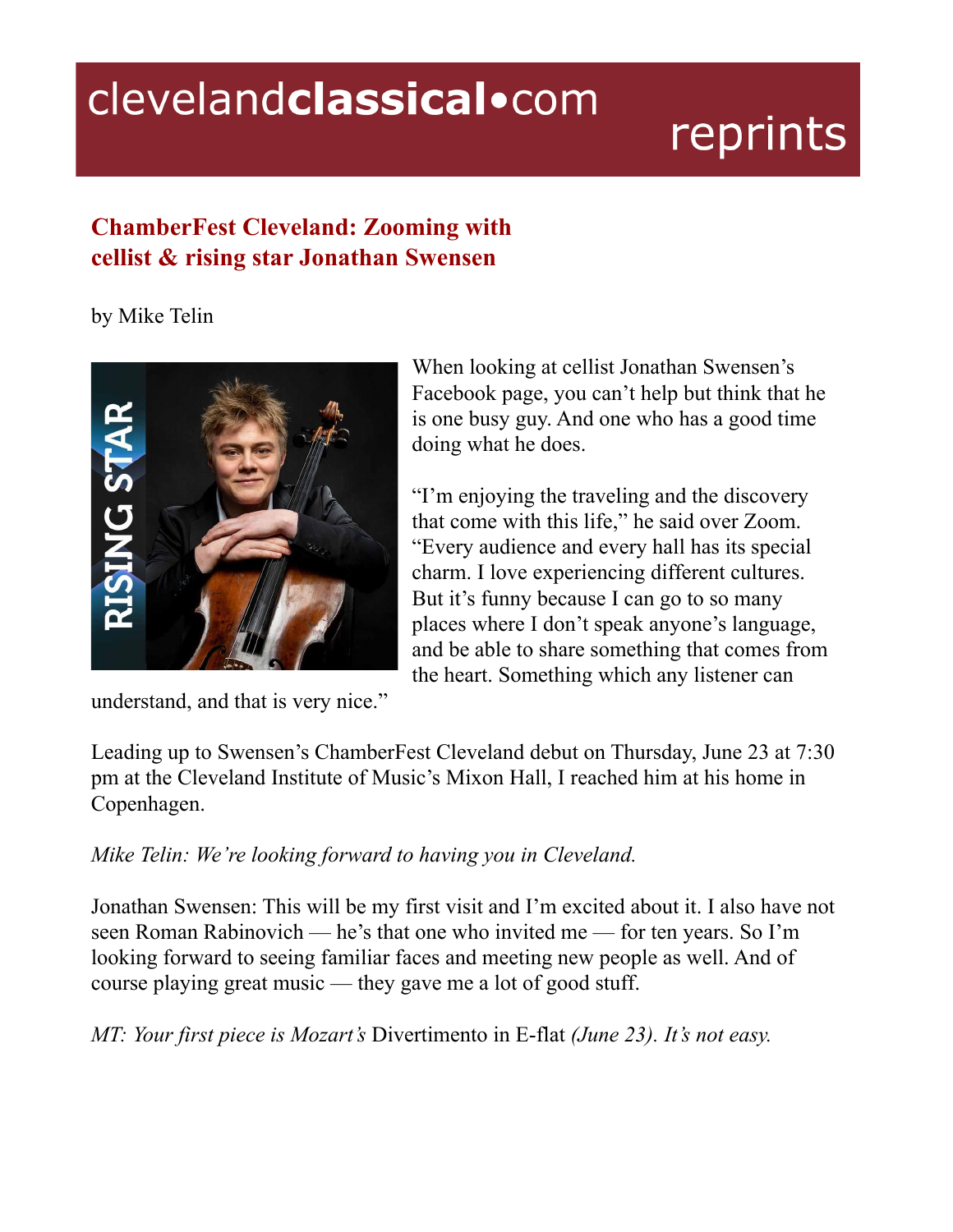## clevelandclassical.com

## reprints

## **ChamberFest Cleveland: Zooming with cellist & rising star Jonathan Swensen**

by Mike Telin



understand, and that is very nice."

When looking at cellist Jonathan Swensen's Facebook page, you can't help but think that he is one busy guy. And one who has a good time doing what he does.

"I'm enjoying the traveling and the discovery that come with this life," he said over Zoom. "Every audience and every hall has its special charm. I love experiencing different cultures. But it's funny because I can go to so many places where I don't speak anyone's language, and be able to share something that comes from the heart. Something which any listener can

Leading up to Swensen's ChamberFest Cleveland debut on Thursday, June 23 at 7:30 pm at the Cleveland Institute of Music's Mixon Hall, I reached him at his home in Copenhagen.

*Mike Telin: We're looking forward to having you in Cleveland.*

Jonathan Swensen: This will be my first visit and I'm excited about it. I also have not seen Roman Rabinovich — he's that one who invited me — for ten years. So I'm looking forward to seeing familiar faces and meeting new people as well. And of course playing great music — they gave me a lot of good stuff.

*MT: Your first piece is Mozart's* Divertimento in E-flat *(June 23). It's not easy.*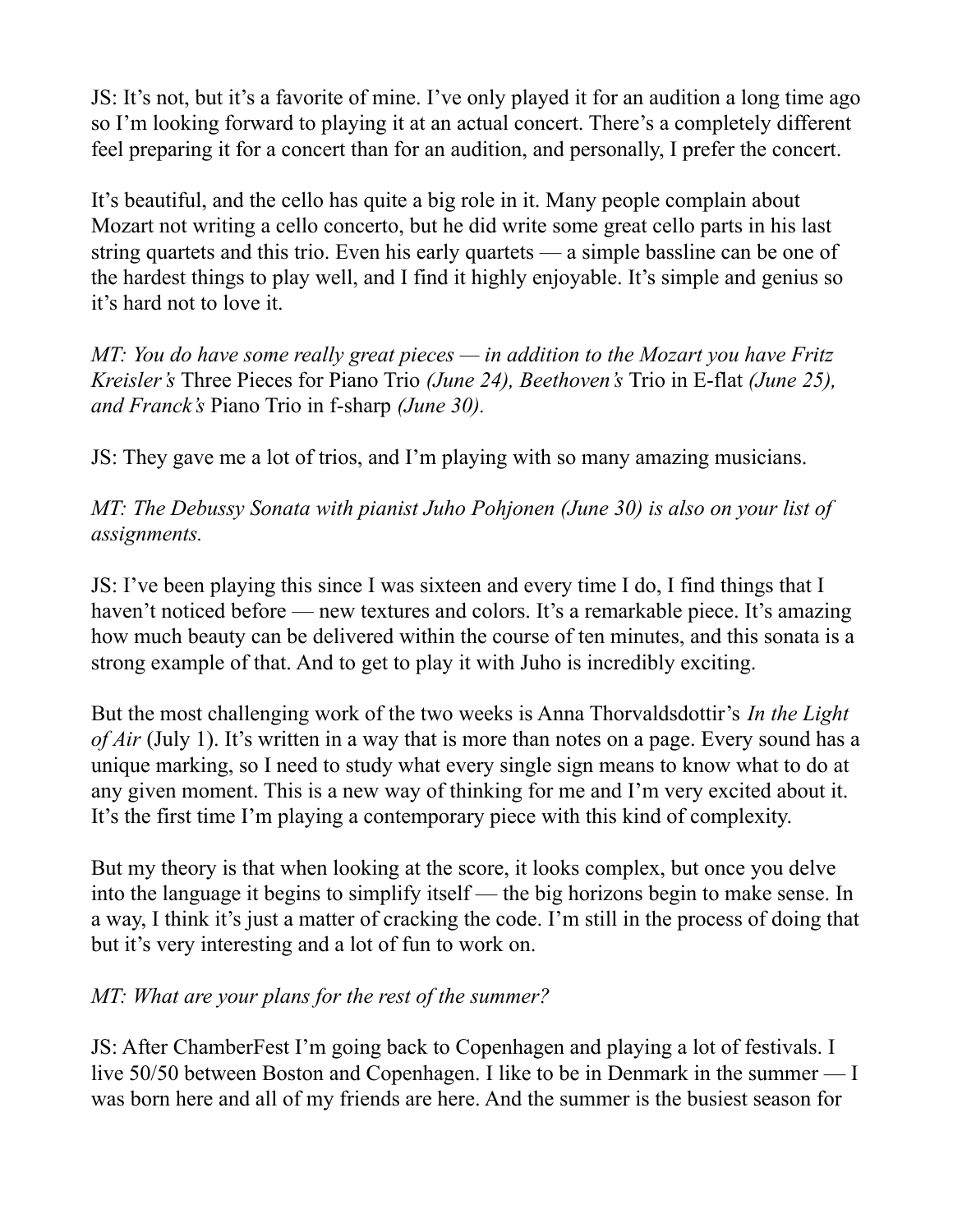JS: It's not, but it's a favorite of mine. I've only played it for an audition a long time ago so I'm looking forward to playing it at an actual concert. There's a completely different feel preparing it for a concert than for an audition, and personally, I prefer the concert.

It's beautiful, and the cello has quite a big role in it. Many people complain about Mozart not writing a cello concerto, but he did write some great cello parts in his last string quartets and this trio. Even his early quartets — a simple bassline can be one of the hardest things to play well, and I find it highly enjoyable. It's simple and genius so it's hard not to love it.

*MT: You do have some really great pieces — in addition to the Mozart you have Fritz Kreisler's* Three Pieces for Piano Trio *(June 24), Beethoven's* Trio in E-flat *(June 25), and Franck's* Piano Trio in f-sharp *(June 30).*

JS: They gave me a lot of trios, and I'm playing with so many amazing musicians.

*MT: The Debussy Sonata with pianist Juho Pohjonen (June 30) is also on your list of assignments.*

JS: I've been playing this since I was sixteen and every time I do, I find things that I haven't noticed before — new textures and colors. It's a remarkable piece. It's amazing how much beauty can be delivered within the course of ten minutes, and this sonata is a strong example of that. And to get to play it with Juho is incredibly exciting.

But the most challenging work of the two weeks is Anna Thorvaldsdottir's *In the Light of Air* (July 1). It's written in a way that is more than notes on a page. Every sound has a unique marking, so I need to study what every single sign means to know what to do at any given moment. This is a new way of thinking for me and I'm very excited about it. It's the first time I'm playing a contemporary piece with this kind of complexity.

But my theory is that when looking at the score, it looks complex, but once you delve into the language it begins to simplify itself — the big horizons begin to make sense. In a way, I think it's just a matter of cracking the code. I'm still in the process of doing that but it's very interesting and a lot of fun to work on.

## *MT: What are your plans for the rest of the summer?*

JS: After ChamberFest I'm going back to Copenhagen and playing a lot of festivals. I live 50/50 between Boston and Copenhagen. I like to be in Denmark in the summer — I was born here and all of my friends are here. And the summer is the busiest season for